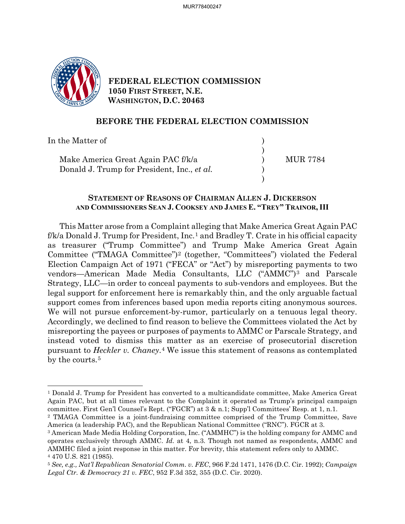

**FEDERAL ELECTION COMMISSION 1050 FIRST STREET, N.E. WASHINGTON, D.C. 20463**

### **BEFORE THE FEDERAL ELECTION COMMISSION**

In the Matter of  $\hspace{1.5cm}$  $)$ Make America Great Again PAC f/k/a (a) MUR 7784 Donald J. Trump for President, Inc., *et al.* )  $)$ 

### **STATEMENT OF REASONS OF CHAIRMAN ALLEN J. DICKERSON AND COMMISSIONERS SEAN J. COOKSEY AND JAMES E. "TREY" TRAINOR, III**

This Matter arose from a Complaint alleging that Make America Great Again PAC  $f/k/a$  Donald J. Trump for President, Inc.<sup>[1](#page-0-0)</sup> and Bradley T. Crate in his official capacity as treasurer ("Trump Committee") and Trump Make America Great Again Committee ("TMAGA Committee")[2](#page-0-1) (together, "Committees") violated the Federal Election Campaign Act of 1971 ("FECA" or "Act") by misreporting payments to two vendors—American Made Media Consultants, LLC ("AMMC")[3](#page-0-2) and Parscale Strategy, LLC—in order to conceal payments to sub-vendors and employees. But the legal support for enforcement here is remarkably thin, and the only arguable factual support comes from inferences based upon media reports citing anonymous sources. We will not pursue enforcement-by-rumor, particularly on a tenuous legal theory. Accordingly, we declined to find reason to believe the Committees violated the Act by misreporting the payees or purposes of payments to AMMC or Parscale Strategy, and instead voted to dismiss this matter as an exercise of prosecutorial discretion pursuant to *Heckler v. Chaney*.[4](#page-0-3) We issue this statement of reasons as contemplated by the courts.<sup>[5](#page-0-4)</sup>

<span id="page-0-0"></span><sup>&</sup>lt;sup>1</sup> Donald J. Trump for President has converted to a multicandidate committee, Make America Great Again PAC, but at all times relevant to the Complaint it operated as Trump's principal campaign committee. First Gen'l Counsel's Rept. ("FGCR") at 3 & n.1; Supp'l Committees' Resp. at 1, n.1. 2 TMAGA Committee is a joint-fundraising committee comprised of the Trump Committee, Save

<span id="page-0-1"></span>America (a leadership PAC), and the Republican National Committee ("RNC"). FGCR at 3.

<span id="page-0-2"></span><sup>3</sup> American Made Media Holding Corporation, Inc. ("AMMHC") is the holding company for AMMC and operates exclusively through AMMC. *Id.* at 4, n.3. Though not named as respondents, AMMC and AMMHC filed a joint response in this matter. For brevity, this statement refers only to AMMC. 4 470 U.S. 821 (1985).

<span id="page-0-4"></span><span id="page-0-3"></span><sup>5</sup> *See, e.g., Nat'l Republican Senatorial Comm. v. FEC*, 966 F.2d 1471, 1476 (D.C. Cir. 1992); *Campaign Legal Ctr. & Democracy 21 v. FEC*, 952 F.3d 352, 355 (D.C. Cir. 2020).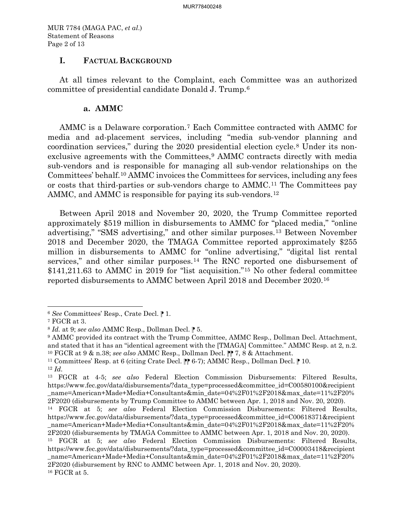MUR 7784 (MAGA PAC, *et al*.) Statement of Reasons Page 2 of 13

### **I. FACTUAL BACKGROUND**

At all times relevant to the Complaint, each Committee was an authorized committee of presidential candidate Donald J. Trump.[6](#page-1-0)

### **a. AMMC**

AMMC is a Delaware corporation.[7](#page-1-1) Each Committee contracted with AMMC for media and ad-placement services, including "media sub-vendor planning and coordination services," during the 2020 presidential election cycle.[8](#page-1-2) Under its nonexclusive agreements with the Committees,[9](#page-1-3) AMMC contracts directly with media sub-vendors and is responsible for managing all sub-vendor relationships on the Committees' behalf.[10](#page-1-4) AMMC invoices the Committees for services, including any fees or costs that third-parties or sub-vendors charge to AMMC.[11](#page-1-5) The Committees pay AMMC, and AMMC is responsible for paying its sub-vendors.<sup>12</sup>

Between April 2018 and November 20, 2020, the Trump Committee reported approximately \$519 million in disbursements to AMMC for "placed media," "online advertising," "SMS advertising," and other similar purposes.[13](#page-1-7) Between November 2018 and December 2020, the TMAGA Committee reported approximately \$255 million in disbursements to AMMC for "online advertising," "digital list rental services," and other similar purposes.[14](#page-1-8) The RNC reported one disbursement of \$141,211.63 to AMMC in 2019 for "list acquisition."<sup>15</sup> No other federal committee reported disbursements to AMMC between April 2018 and December 2020.[16](#page-1-10) 

<span id="page-1-0"></span><sup>6</sup> *See* Committees' Resp., Crate Decl. ⁋ 1.

<span id="page-1-2"></span><span id="page-1-1"></span>*<sup>7</sup>* FGCR at 3.<br><sup>8</sup> *Id.* at 9; *see also* AMMC Resp., Dollman Decl. **P** 5.

<span id="page-1-3"></span><sup>9</sup> AMMC provided its contract with the Trump Committee, AMMC Resp., Dollman Decl. Attachment, and stated that it has an "identical agreement with the [TMAGA] Committee." AMMC Resp. at 2, n.2. <sup>10</sup> FGCR at 9 & n.38; *see also* AMMC Resp., Dollman Decl.  $\parallel \parallel$  7, 8 & Attachment.<br><sup>11</sup> Committees' Resp. at 6 (citing Crate Decl.  $\parallel \parallel$  6-7); AMMC Resp., Dollman Decl.  $\parallel$  10.

<span id="page-1-5"></span><span id="page-1-4"></span>

<span id="page-1-6"></span><sup>12</sup> *Id.*

<span id="page-1-7"></span><sup>13</sup> FGCR at 4-5; *see also* Federal Election Commission Disbursements: Filtered Results, https://www.fec.gov/data/disbursements/?data\_type=processed&committee\_id=C00580100&recipient \_name=American+Made+Media+Consultants&min\_date=04%2F01%2F2018&max\_date=11%2F20% 2F2020 (disbursements by Trump Committee to AMMC between Apr. 1, 2018 and Nov. 20, 2020).

<span id="page-1-8"></span><sup>14</sup> FGCR at 5; *see also* Federal Election Commission Disbursements: Filtered Results, https://www.fec.gov/data/disbursements/?data\_type=processed&committee\_id=C00618371&recipient \_name=American+Made+Media+Consultants&min\_date=04%2F01%2F2018&max\_date=11%2F20% 2F2020 (disbursements by TMAGA Committee to AMMC between Apr. 1, 2018 and Nov. 20, 2020).

<span id="page-1-10"></span><span id="page-1-9"></span><sup>15</sup> FGCR at 5; *see also* Federal Election Commission Disbursements: Filtered Results, https://www.fec.gov/data/disbursements/?data\_type=processed&committee\_id=C00003418&recipient \_name=American+Made+Media+Consultants&min\_date=04%2F01%2F2018&max\_date=11%2F20% 2F2020 (disbursement by RNC to AMMC between Apr. 1, 2018 and Nov. 20, 2020).  $^{16}$  FGCR at 5.  $\,$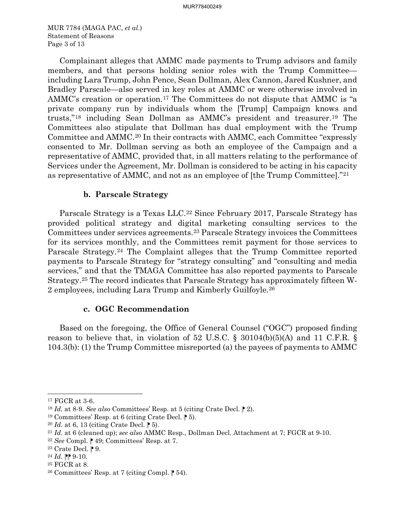MUR 7784 (MAGA PAC, *et al*.) Statement of Reasons Page 3 of 13

Complainant alleges that AMMC made payments to Trump advisors and family members, and that persons holding senior roles with the Trump Committee including Lara Trump, John Pence, Sean Dollman, Alex Cannon, Jared Kushner, and Bradley Parscale—also served in key roles at AMMC or were otherwise involved in AMMC's creation or operation.[17](#page-2-0) The Committees do not dispute that AMMC is "a private company run by individuals whom the [Trump] Campaign knows and trusts,"[18](#page-2-1) including Sean Dollman as AMMC's president and treasurer.[19](#page-2-2) The Committees also stipulate that Dollman has dual employment with the Trump Committee and AMMC.[20](#page-2-3) In their contracts with AMMC, each Committee "expressly consented to Mr. Dollman serving as both an employee of the Campaign and a representative of AMMC, provided that, in all matters relating to the performance of Services under the Agreement, Mr. Dollman is considered to be acting in his capacity as representative of AMMC, and not as an employee of [the Trump Committee]."[21](#page-2-4)

### **b. Parscale Strategy**

Parscale Strategy is a Texas LLC.<sup>[22](#page-2-5)</sup> Since February 2017, Parscale Strategy has provided political strategy and digital marketing consulting services to the Committees under services agreements.[23](#page-2-6) Parscale Strategy invoices the Committees for its services monthly, and the Committees remit payment for those services to Parscale Strategy.[24](#page-2-7) The Complaint alleges that the Trump Committee reported payments to Parscale Strategy for "strategy consulting" and "consulting and media services," and that the TMAGA Committee has also reported payments to Parscale Strategy.[25](#page-2-8) The record indicates that Parscale Strategy has approximately fifteen W-2 employees, including Lara Trump and Kimberly Guilfoyle.[26](#page-2-9)

#### **c. OGC Recommendation**

Based on the foregoing, the Office of General Counsel ("OGC") proposed finding reason to believe that, in violation of 52 U.S.C. § 30104(b)(5)(A) and 11 C.F.R. § 104.3(b): (1) the Trump Committee misreported (a) the payees of payments to AMMC

<span id="page-2-0"></span><sup>17</sup> FGCR at 3-6.

<span id="page-2-1"></span><sup>18</sup> *Id.* at 8-9. *See also* Committees' Resp. at 5 (citing Crate Decl. ⁋ 2).

<span id="page-2-2"></span><sup>&</sup>lt;sup>19</sup> Committees' Resp. at 6 (citing Crate Decl.  $\parallel$  5).<br><sup>20</sup> *Id.* at 6, 13 (citing Crate Decl.  $\parallel$  5).

<span id="page-2-3"></span>

<span id="page-2-4"></span><sup>21</sup> *Id.* at 6 (cleaned up); *see also* AMMC Resp., Dollman Decl. Attachment at 7; FGCR at 9-10.

<span id="page-2-5"></span> $22$  *See* Compl.  $\uparrow$  49; Committees' Resp. at 7.

<span id="page-2-6"></span><sup>&</sup>lt;sup>23</sup> Crate Decl.  $\mathbb{P}9$ .

<span id="page-2-7"></span> $^{24}$  *Id.*  $\mathbb{P} \mathbb{P} 9$ -10.

<span id="page-2-9"></span><span id="page-2-8"></span><sup>&</sup>lt;sup>25</sup> FGCR at 8.<br><sup>26</sup> Committees' Resp. at 7 (citing Compl.  $\uparrow$  54).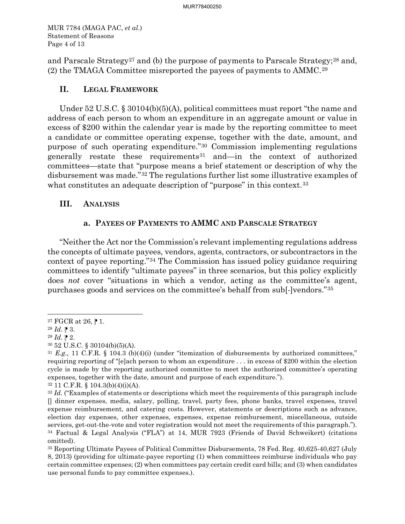MUR 7784 (MAGA PAC, *et al*.) Statement of Reasons Page 4 of 13

and Parscale Strategy<sup>[27](#page-3-0)</sup> and (b) the purpose of payments to Parscale Strategy;<sup>[28](#page-3-1)</sup> and, (2) the TMAGA Committee misreported the payees of payments to AMMC.[29](#page-3-2)

# **II. LEGAL FRAMEWORK**

Under 52 U.S.C. § 30104(b)(5)(A), political committees must report "the name and address of each person to whom an expenditure in an aggregate amount or value in excess of \$200 within the calendar year is made by the reporting committee to meet a candidate or committee operating expense, together with the date, amount, and purpose of such operating expenditure."[30](#page-3-3) Commission implementing regulations generally restate these requirements[31](#page-3-4) and—in the context of authorized committees—state that "purpose means a brief statement or description of why the disbursement was made."[32](#page-3-5) The regulations further list some illustrative examples of what constitutes an adequate description of "purpose" in this context.<sup>[33](#page-3-6)</sup>

# **III. ANALYSIS**

# **a. PAYEES OF PAYMENTS TO AMMC AND PARSCALE STRATEGY**

"Neither the Act nor the Commission's relevant implementing regulations address the concepts of ultimate payees, vendors, agents, contractors, or subcontractors in the context of payee reporting."[34](#page-3-7) The Commission has issued policy guidance requiring committees to identify "ultimate payees" in three scenarios, but this policy explicitly does *not* cover "situations in which a vendor, acting as the committee's agent, purchases goods and services on the committee's behalf from sub[-]vendors."[35](#page-3-8)

<span id="page-3-0"></span><sup>&</sup>lt;sup>27</sup> FGCR at 26,  $\blacktriangleright$  1.

<span id="page-3-1"></span> $^{28}$  *Id.*  $\blacktriangleright$  3.

<span id="page-3-2"></span> $^{29}$  *Id.*  $\triangleright$  2.

<span id="page-3-3"></span><sup>30</sup> 52 U.S.C. § 30104(b)(5)(A).

<span id="page-3-4"></span><sup>31</sup> *E.g.,* 11 C.F.R. § 104.3 (b)(4)(i) (under "itemization of disbursements by authorized committees," requiring reporting of "[e]ach person to whom an expenditure . . . in excess of \$200 within the election cycle is made by the reporting authorized committee to meet the authorized committee's operating expenses, together with the date, amount and purpose of each expenditure.").

<span id="page-3-5"></span><sup>32</sup> 11 C.F.R. § 104.3(b)(4)(i)(A).

<span id="page-3-6"></span><sup>&</sup>lt;sup>33</sup> *Id.* ("Examples of statements or descriptions which meet the requirements of this paragraph include [] dinner expenses, media, salary, polling, travel, party fees, phone banks, travel expenses, travel expense reimbursement, and catering costs. However, statements or descriptions such as advance, election day expenses, other expenses, expenses, expense reimbursement, miscellaneous, outside services, get-out-the-vote and voter registration would not meet the requirements of this paragraph.").<br><sup>34</sup> Factual & Legal Analysis ("FLA") at 14, MUR 7923 (Friends of David Schweikert) (citations omitted). 35 Reporting Ultimate Payees of Political Committee Disbursements, 78 Fed. Reg. 40,625-40,627 (July

<span id="page-3-8"></span><span id="page-3-7"></span><sup>8, 2013) (</sup>providing for ultimate-payee reporting (1) when committees reimburse individuals who pay certain committee expenses; (2) when committees pay certain credit card bills; and (3) when candidates use personal funds to pay committee expenses.).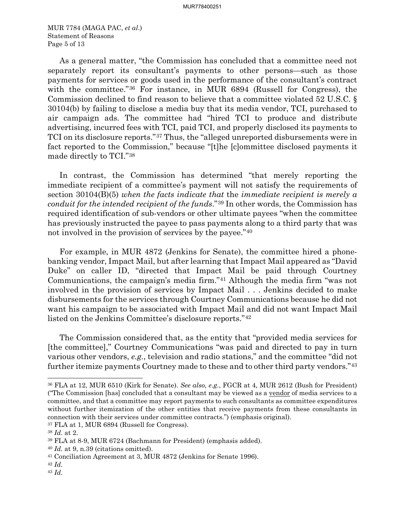MUR 7784 (MAGA PAC, *et al*.) Statement of Reasons Page 5 of 13

As a general matter, "the Commission has concluded that a committee need not separately report its consultant's payments to other persons—such as those payments for services or goods used in the performance of the consultant's contract with the committee."[36](#page-4-0) For instance, in MUR 6894 (Russell for Congress), the Commission declined to find reason to believe that a committee violated 52 U.S.C. § 30104(b) by failing to disclose a media buy that its media vendor, TCI, purchased to air campaign ads. The committee had "hired TCI to produce and distribute advertising, incurred fees with TCI, paid TCI, and properly disclosed its payments to TCI on its disclosure reports."[37](#page-4-1) Thus, the "alleged unreported disbursements were in fact reported to the Commission," because "[t]he [c]ommittee disclosed payments it made directly to TCI."[38](#page-4-2)

In contrast, the Commission has determined "that merely reporting the immediate recipient of a committee's payment will not satisfy the requirements of section 30104(B)(5) *when the facts indicate that* the *immediate recipient is merely a conduit for the intended recipient of the funds*."[39](#page-4-3) In other words, the Commission has required identification of sub-vendors or other ultimate payees "when the committee has previously instructed the payee to pass payments along to a third party that was not involved in the provision of services by the payee."[40](#page-4-4)

For example, in MUR 4872 (Jenkins for Senate), the committee hired a phonebanking vendor, Impact Mail, but after learning that Impact Mail appeared as "David Duke" on caller ID, "directed that Impact Mail be paid through Courtney Communications, the campaign's media firm."[41](#page-4-5) Although the media firm "was not involved in the provision of services by Impact Mail . . . Jenkins decided to make disbursements for the services through Courtney Communications because he did not want his campaign to be associated with Impact Mail and did not want Impact Mail listed on the Jenkins Committee's disclosure reports."[42](#page-4-6)

The Commission considered that, as the entity that "provided media services for [the committee]," Courtney Communications "was paid and directed to pay in turn various other vendors, *e.g.*, television and radio stations," and the committee "did not further itemize payments Courtney made to these and to other third party vendors."[43](#page-4-7)

<span id="page-4-1"></span>

<span id="page-4-0"></span><sup>36</sup> FLA at 12, MUR 6510 (Kirk for Senate). *See also, e.g.*, FGCR at 4, MUR 2612 (Bush for President) ("The Commission [has] concluded that a consultant may be viewed as a vendor of media services to a committee, and that a committee may report payments to such consultants as committee expenditures without further itemization of the other entities that receive payments from these consultants in connection with their services under committee contracts.") (emphasis original). 37 FLA at 1, MUR 6894 (Russell for Congress).

<span id="page-4-2"></span><sup>38</sup> *Id.* at 2.

<span id="page-4-3"></span><sup>39</sup> FLA at 8-9, MUR 6724 (Bachmann for President) (emphasis added).

<span id="page-4-5"></span><span id="page-4-4"></span><sup>&</sup>lt;sup>40</sup> *Id.* at 9, n.39 (citations omitted).<br><sup>41</sup> Conciliation Agreement at 3, MUR 4872 (Jenkins for Senate 1996).

<span id="page-4-6"></span><sup>42</sup> *Id.*

<span id="page-4-7"></span><sup>43</sup> *Id.*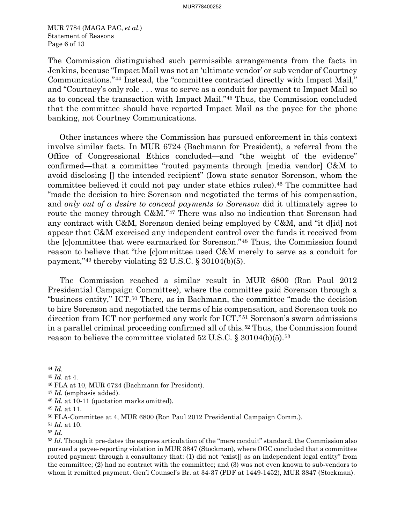MUR 7784 (MAGA PAC, *et al*.) Statement of Reasons Page 6 of 13

The Commission distinguished such permissible arrangements from the facts in Jenkins, because "Impact Mail was not an 'ultimate vendor' or sub vendor of Courtney Communications."[44](#page-5-0) Instead, the "committee contracted directly with Impact Mail," and "Courtney's only role . . . was to serve as a conduit for payment to Impact Mail so as to conceal the transaction with Impact Mail."[45](#page-5-1) Thus, the Commission concluded that the committee should have reported Impact Mail as the payee for the phone banking, not Courtney Communications.

Other instances where the Commission has pursued enforcement in this context involve similar facts. In MUR 6724 (Bachmann for President), a referral from the Office of Congressional Ethics concluded—and "the weight of the evidence" confirmed—that a committee "routed payments through [media vendor] C&M to avoid disclosing [] the intended recipient" (Iowa state senator Sorenson, whom the committee believed it could not pay under state ethics rules).[46](#page-5-2) The committee had "made the decision to hire Sorenson and negotiated the terms of his compensation, and *only out of a desire to conceal payments to Sorenson* did it ultimately agree to route the money through C&M."[47](#page-5-3) There was also no indication that Sorenson had any contract with C&M, Sorenson denied being employed by C&M, and "it d[id] not appear that C&M exercised any independent control over the funds it received from the [c]ommittee that were earmarked for Sorenson."[48](#page-5-4) Thus, the Commission found reason to believe that "the [c]ommittee used C&M merely to serve as a conduit for payment," $49$  thereby violating 52 U.S.C. § 30104(b)(5).

The Commission reached a similar result in MUR 6800 (Ron Paul 2012 Presidential Campaign Committee), where the committee paid Sorenson through a "business entity," ICT.[50](#page-5-6) There, as in Bachmann, the committee "made the decision to hire Sorenson and negotiated the terms of his compensation, and Sorenson took no direction from ICT nor performed any work for ICT."[51](#page-5-7) Sorenson's sworn admissions in a parallel criminal proceeding confirmed all of this.[52](#page-5-8) Thus, the Commission found reason to believe the committee violated 52 U.S.C. § 30104(b)(5).[53](#page-5-9)

<span id="page-5-0"></span><sup>44</sup> *Id.*

<span id="page-5-1"></span><sup>45</sup> *Id.* at 4.

<span id="page-5-2"></span><sup>46</sup> FLA at 10, MUR 6724 (Bachmann for President).

<span id="page-5-4"></span><span id="page-5-3"></span><sup>47</sup> *Id.* (emphasis added). 48 *Id.* at 10-11 (quotation marks omitted).

<span id="page-5-5"></span><sup>49</sup> *Id.* at 11.

<span id="page-5-6"></span><sup>50</sup> FLA-Committee at 4, MUR 6800 (Ron Paul 2012 Presidential Campaign Comm.).

<span id="page-5-7"></span><sup>51</sup> *Id.* at 10.

<span id="page-5-8"></span><sup>52</sup> *Id.*

<span id="page-5-9"></span><sup>&</sup>lt;sup>53</sup> *Id.* Though it pre-dates the express articulation of the "mere conduit" standard, the Commission also pursued a payee-reporting violation in MUR 3847 (Stockman), where OGC concluded that a committee routed payment through a consultancy that: (1) did not "exist[] as an independent legal entity" from the committee; (2) had no contract with the committee; and (3) was not even known to sub-vendors to whom it remitted payment. Gen'l Counsel's Br. at 34-37 (PDF at 1449-1452), MUR 3847 (Stockman).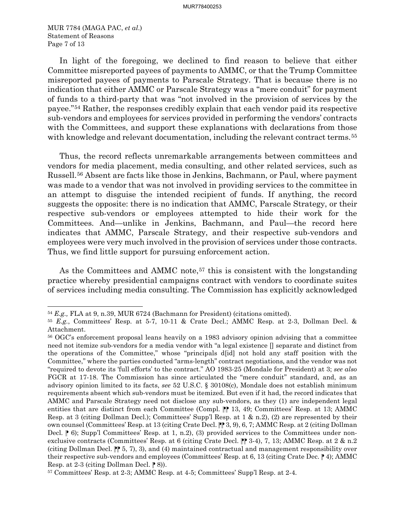MUR 7784 (MAGA PAC, *et al*.) Statement of Reasons Page 7 of 13

In light of the foregoing, we declined to find reason to believe that either Committee misreported payees of payments to AMMC, or that the Trump Committee misreported payees of payments to Parscale Strategy. That is because there is no indication that either AMMC or Parscale Strategy was a "mere conduit" for payment of funds to a third-party that was "not involved in the provision of services by the payee."[54](#page-6-0) Rather, the responses credibly explain that each vendor paid its respective sub-vendors and employees for services provided in performing the vendors' contracts with the Committees, and support these explanations with declarations from those with knowledge and relevant documentation, including the relevant contract terms.<sup>[55](#page-6-1)</sup>

Thus, the record reflects unremarkable arrangements between committees and vendors for media placement, media consulting, and other related services, such as Russell.[56](#page-6-2) Absent are facts like those in Jenkins, Bachmann, or Paul, where payment was made to a vendor that was not involved in providing services to the committee in an attempt to disguise the intended recipient of funds. If anything, the record suggests the opposite: there is no indication that AMMC, Parscale Strategy, or their respective sub-vendors or employees attempted to hide their work for the Committees. And—unlike in Jenkins, Bachmann, and Paul—the record here indicates that AMMC, Parscale Strategy, and their respective sub-vendors and employees were very much involved in the provision of services under those contracts. Thus, we find little support for pursuing enforcement action.

As the Committees and AMMC note,<sup>[57](#page-6-3)</sup> this is consistent with the longstanding practice whereby presidential campaigns contract with vendors to coordinate suites of services including media consulting. The Commission has explicitly acknowledged

<span id="page-6-0"></span><sup>54</sup> *E.g.,* FLA at 9, n.39, MUR 6724 (Bachmann for President) (citations omitted).

<span id="page-6-1"></span><sup>55</sup> *E.g.*, Committees' Resp. at 5-7, 10-11 & Crate Decl.; AMMC Resp. at 2-3, Dollman Decl. &

<span id="page-6-2"></span>Attachment.<br><sup>56</sup> OGC's enforcement proposal leans heavily on a 1983 advisory opinion advising that a committee need not itemize sub-vendors for a media vendor with "a legal existence [] separate and distinct from the operations of the Committee," whose "principals d[id] not hold any staff position with the Committee," where the parties conducted "arms-length" contract negotiations, and the vendor was not "required to devote its 'full efforts' to the contract." AO 1983-25 (Mondale for President) at 3; *see also*  FGCR at 17-18. The Commission has since articulated the "mere conduit" standard, and, as an advisory opinion limited to its facts, *see* 52 U.S.C. § 30108(c), Mondale does not establish minimum requirements absent which sub-vendors must be itemized. But even if it had, the record indicates that AMMC and Parscale Strategy need not disclose any sub-vendors, as they (1) are independent legal entities that are distinct from each Committee (Compl.  $\| \$  13, 49; Committees' Resp. at 13; AMMC Resp. at 3 (citing Dollman Decl.); Committees' Supp'l Resp. at 1 & n.2), (2) are represented by their own counsel (Committees' Resp. at 13 (citing Crate Decl. ⁋⁋ 3, 9), 6, 7; AMMC Resp. at 2 (citing Dollman Decl.  $\uparrow$  6); Supp'l Committees' Resp. at 1, n.2), (3) provided services to the Committees under nonexclusive contracts (Committees' Resp. at 6 (citing Crate Decl.  $\mathbb{P}$  3-4), 7, 13; AMMC Resp. at 2 & n.2 (citing Dollman Decl.  $\mathbb{P}$  5, 7), 3), and (4) maintained contractual and management responsibility over their respective sub-vendors and employees (Committees' Resp. at 6, 13 (citing Crate Dec.  $\vert \! \vert$ ); AMMC Resp. at 2-3 (citing Dollman Decl.  $\mid \hspace{-1.65cm} \mid 8$ )).

<span id="page-6-3"></span><sup>57</sup> Committees' Resp. at 2-3; AMMC Resp. at 4-5; Committees' Supp'l Resp. at 2-4.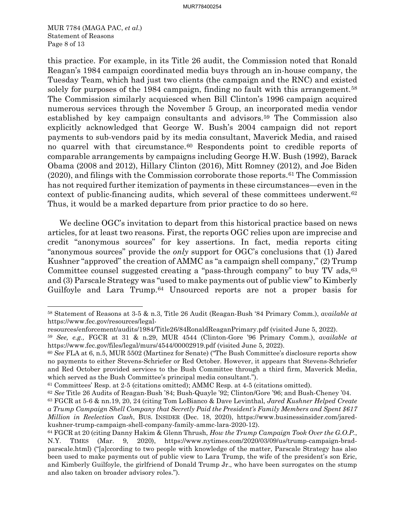MUR 7784 (MAGA PAC, *et al*.) Statement of Reasons Page 8 of 13

this practice. For example, in its Title 26 audit, the Commission noted that Ronald Reagan's 1984 campaign coordinated media buys through an in-house company, the Tuesday Team, which had just two clients (the campaign and the RNC) and existed solely for purposes of the 1984 campaign, finding no fault with this arrangement.<sup>[58](#page-7-0)</sup> The Commission similarly acquiesced when Bill Clinton's 1996 campaign acquired numerous services through the November 5 Group, an incorporated media vendor established by key campaign consultants and advisors.[59](#page-7-1) The Commission also explicitly acknowledged that George W. Bush's 2004 campaign did not report payments to sub-vendors paid by its media consultant, Maverick Media, and raised no quarrel with that circumstance.[60](#page-7-2) Respondents point to credible reports of comparable arrangements by campaigns including George H.W. Bush (1992), Barack Obama (2008 and 2012), Hillary Clinton (2016), Mitt Romney (2012), and Joe Biden  $(2020)$ , and filings with the Commission corroborate those reports.<sup>61</sup> The Commission has not required further itemization of payments in these circumstances—even in the context of public-financing audits, which several of these committees underwent.[62](#page-7-4) Thus, it would be a marked departure from prior practice to do so here.

We decline OGC's invitation to depart from this historical practice based on news articles, for at least two reasons. First, the reports OGC relies upon are imprecise and credit "anonymous sources" for key assertions. In fact, media reports citing "anonymous sources" provide the *only* support for OGC's conclusions that (1) Jared Kushner "approved" the creation of AMMC as "a campaign shell company," (2) Trump Committee counsel suggested creating a "pass-through company" to buy TV ads, [63](#page-7-5) and (3) Parscale Strategy was "used to make payments out of public view" to Kimberly Guilfoyle and Lara Trump.<sup>[64](#page-7-6)</sup> Unsourced reports are not a proper basis for

<span id="page-7-0"></span><sup>58</sup> Statement of Reasons at 3-5 & n.3, Title 26 Audit (Reagan-Bush '84 Primary Comm.), *available at*  https://www.fec.gov/resources/legal-

resources/enforcement/audits/1984/Title26/84RonaldReaganPrimary.pdf (visited June 5, 2022). 59 *See, e.g.,* FGCR at 31 & n.29, MUR 4544 (Clinton-Gore '96 Primary Comm.), *available at* 

<span id="page-7-1"></span>https://www.fec.gov/files/legal/murs/4544/00002919.pdf (visited June 5, 2022).

<span id="page-7-2"></span><sup>60</sup> *See* FLA at 6, n.5, MUR 5502 (Martinez for Senate) ("The Bush Committee's disclosure reports show no payments to either Stevens-Schriefer or Red October. However, it appears that Stevens-Schriefer and Red October provided services to the Bush Committee through a third firm, Maverick Media, which served as the Bush Committee's principal media consultant.").

<span id="page-7-4"></span><span id="page-7-3"></span><sup>61</sup> Committees' Resp. at 2-5 (citations omitted); AMMC Resp. at 4-5 (citations omitted).

<sup>62</sup> *See* Title 26 Audits of Reagan-Bush '84; Bush-Quayle '92; Clinton/Gore '96; and Bush-Cheney '04.

<span id="page-7-5"></span><sup>63</sup> FGCR at 5-6 & nn.19, 20, 24 (citing Tom LoBianco & Dave Levinthal, *Jared Kushner Helped Create a Trump Campaign Shell Company that Secretly Paid the President's Family Members and Spent \$617 Million in Reelection Cash*, BUS. INSIDER (Dec. 18, 2020), https://www.businessinsider.com/jaredkushner-trump-campaign-shell-company-family-ammc-lara-2020-12).

<span id="page-7-6"></span><sup>64</sup> FGCR at 20 (citing Danny Hakim & Glenn Thrush, *How the Trump Campaign Took Over the G.O.P.*, N.Y. TIMES (Mar. 9, 2020), https://www.nytimes.com/2020/03/09/us/trump-campaign-bradparscale.html) ("[a]ccording to two people with knowledge of the matter, Parscale Strategy has also been used to make payments out of public view to Lara Trump, the wife of the president's son Eric, and Kimberly Guilfoyle, the girlfriend of Donald Trump Jr., who have been surrogates on the stump and also taken on broader advisory roles.").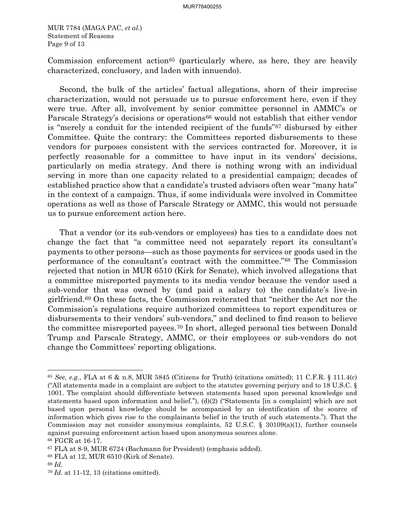MUR 7784 (MAGA PAC, *et al*.) Statement of Reasons Page 9 of 13

Commission enforcement action<sup>[65](#page-8-0)</sup> (particularly where, as here, they are heavily characterized, conclusory, and laden with innuendo).

Second, the bulk of the articles' factual allegations, shorn of their imprecise characterization, would not persuade us to pursue enforcement here, even if they were true. After all, involvement by senior committee personnel in AMMC's or Parscale Strategy's decisions or operations<sup>[66](#page-8-1)</sup> would not establish that either vendor is "merely a conduit for the intended recipient of the funds"[67](#page-8-2) disbursed by either Committee. Quite the contrary: the Committees reported disbursements to these vendors for purposes consistent with the services contracted for. Moreover, it is perfectly reasonable for a committee to have input in its vendors' decisions, particularly on media strategy. And there is nothing wrong with an individual serving in more than one capacity related to a presidential campaign; decades of established practice show that a candidate's trusted advisors often wear "many hats" in the context of a campaign. Thus, if some individuals were involved in Committee operations as well as those of Parscale Strategy or AMMC, this would not persuade us to pursue enforcement action here.

That a vendor (or its sub-vendors or employees) has ties to a candidate does not change the fact that "a committee need not separately report its consultant's payments to other persons—such as those payments for services or goods used in the performance of the consultant's contract with the committee.["68](#page-8-3) The Commission rejected that notion in MUR 6510 (Kirk for Senate), which involved allegations that a committee misreported payments to its media vendor because the vendor used a sub-vendor that was owned by (and paid a salary to) the candidate's live-in girlfriend.[69](#page-8-4) On these facts, the Commission reiterated that "neither the Act nor the Commission's regulations require authorized committees to report expenditures or disbursements to their vendors' sub-vendors," and declined to find reason to believe the committee misreported payees.[70](#page-8-5) In short, alleged personal ties between Donald Trump and Parscale Strategy, AMMC, or their employees or sub-vendors do not change the Committees' reporting obligations.

<span id="page-8-0"></span><sup>65</sup> *See, e.g.*, FLA at 6 & n.8, MUR 5845 (Citizens for Truth) (citations omitted); 11 C.F.R. § 111.4(c) ("All statements made in a complaint are subject to the statutes governing perjury and to 18 U.S.C. § 1001. The complaint should differentiate between statements based upon personal knowledge and statements based upon information and belief."),  $(d)(2)$  ("Statements [in a complaint] which are not based upon personal knowledge should be accompanied by an identification of the source of information which gives rise to the complainants belief in the truth of such statements."). That the Commission may not consider anonymous complaints, 52 U.S.C. § 30109(a)(1), further counsels against pursuing enforcement action based upon anonymous sources alone.

<span id="page-8-2"></span><span id="page-8-1"></span> $66$  FGCR at 16-17.<br> $67$  FLA at 8-9, MUR 6724 (Bachmann for President) (emphasis added).

<span id="page-8-3"></span><sup>68</sup> FLA at 12, MUR 6510 (Kirk of Senate).

<span id="page-8-4"></span><sup>69</sup> *Id.*

<span id="page-8-5"></span><sup>70</sup> *Id.* at 11-12, 13 (citations omitted).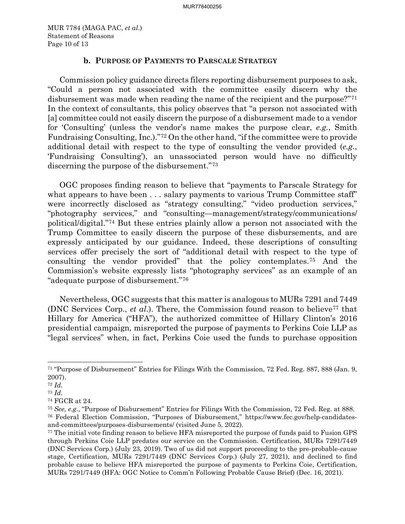MUR 7784 (MAGA PAC, *et al*.) Statement of Reasons Page 10 of 13

### **b. PURPOSE OF PAYMENTS TO PARSCALE STRATEGY**

Commission policy guidance directs filers reporting disbursement purposes to ask, "Could a person not associated with the committee easily discern why the disbursement was made when reading the name of the recipient and the purpose?"<sup>[71](#page-9-0)</sup> In the context of consultants, this policy observes that "a person not associated with [a] committee could not easily discern the purpose of a disbursement made to a vendor for 'Consulting' (unless the vendor's name makes the purpose clear, *e.g.*, Smith Fundraising Consulting, Inc.)."[72](#page-9-1) On the other hand, "if the committee were to provide additional detail with respect to the type of consulting the vendor provided (*e.g.*, 'Fundraising Consulting'), an unassociated person would have no difficultly discerning the purpose of the disbursement."[73](#page-9-2)

OGC proposes finding reason to believe that "payments to Parscale Strategy for what appears to have been . . . salary payments to various Trump Committee staff' were incorrectly disclosed as "strategy consulting," "video production services," "photography services," and "consulting—management/strategy/communications/ political/digital."[74](#page-9-3) But these entries plainly allow a person not associated with the Trump Committee to easily discern the purpose of these disbursements, and are expressly anticipated by our guidance. Indeed, these descriptions of consulting services offer precisely the sort of "additional detail with respect to the type of consulting the vendor provided" that the policy contemplates.[75](#page-9-4) And the Commission's website expressly lists "photography services" as an example of an "adequate purpose of disbursement."[76](#page-9-5)

Nevertheless, OGC suggests that this matter is analogous to MURs 7291 and 7449 (DNC Services Corp., *et al*.). There, the Commission found reason to believe[77](#page-9-6) that Hillary for America ("HFA"), the authorized committee of Hillary Clinton's 2016 presidential campaign, misreported the purpose of payments to Perkins Coie LLP as "legal services" when, in fact, Perkins Coie used the funds to purchase opposition

<span id="page-9-0"></span><sup>71</sup> "Purpose of Disbursement" Entries for Filings With the Commission, 72 Fed. Reg. 887, 888 (Jan. 9, 2007).

<span id="page-9-1"></span><sup>72</sup> *Id.*

<span id="page-9-2"></span><sup>73</sup> *Id.*

<span id="page-9-3"></span><sup>74</sup> FGCR at 24.

<span id="page-9-5"></span><span id="page-9-4"></span><sup>75</sup> *See, e.g.*, "Purpose of Disbursement" Entries for Filings With the Commission, 72 Fed. Reg. at 888. 76 Federal Election Commission, "Purposes of Disbursement," https://www.fec.gov/help-candidatesand-committees/purposes-disbursements/ (visited June 5, 2022).

<span id="page-9-6"></span><sup>77</sup> The initial vote finding reason to believe HFA misreported the purpose of funds paid to Fusion GPS through Perkins Coie LLP predates our service on the Commission. Certification, MURs 7291/7449 (DNC Services Corp.) (July 23, 2019). Two of us did not support proceeding to the pre-probable-cause stage, Certification, MURs 7291/7449 (DNC Services Corp.) (July 27, 2021), and declined to find probable cause to believe HFA misreported the purpose of payments to Perkins Coie, Certification, MURs 7291/7449 (HFA: OGC Notice to Comm'n Following Probable Cause Brief) (Dec. 16, 2021).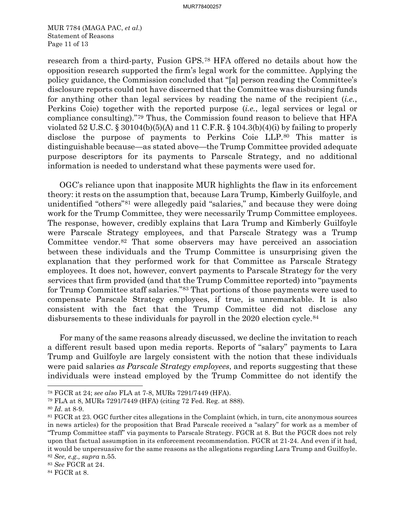MUR 7784 (MAGA PAC, *et al*.) Statement of Reasons Page 11 of 13

research from a third-party, Fusion GPS.[78](#page-10-0) HFA offered no details about how the opposition research supported the firm's legal work for the committee. Applying the policy guidance, the Commission concluded that "[a] person reading the Committee's disclosure reports could not have discerned that the Committee was disbursing funds for anything other than legal services by reading the name of the recipient (*i.e.*, Perkins Coie) together with the reported purpose (*i.e.*, legal services or legal or compliance consulting)."[79](#page-10-1) Thus, the Commission found reason to believe that HFA violated 52 U.S.C. § 30104(b)(5)(A) and 11 C.F.R. § 104.3(b)(4)(i) by failing to properly disclose the purpose of payments to Perkins Coie LLP.[80](#page-10-2) This matter is distinguishable because—as stated above—the Trump Committee provided adequate purpose descriptors for its payments to Parscale Strategy, and no additional information is needed to understand what these payments were used for.

OGC's reliance upon that inapposite MUR highlights the flaw in its enforcement theory: it rests on the assumption that, because Lara Trump, Kimberly Guilfoyle, and unidentified "others"[81](#page-10-3) were allegedly paid "salaries," and because they were doing work for the Trump Committee, they were necessarily Trump Committee employees. The response, however, credibly explains that Lara Trump and Kimberly Guilfoyle were Parscale Strategy employees, and that Parscale Strategy was a Trump Committee vendor.[82](#page-10-4) That some observers may have perceived an association between these individuals and the Trump Committee is unsurprising given the explanation that they performed work for that Committee as Parscale Strategy employees. It does not, however, convert payments to Parscale Strategy for the very services that firm provided (and that the Trump Committee reported) into "payments for Trump Committee staff salaries."[83](#page-10-5) That portions of those payments were used to compensate Parscale Strategy employees, if true, is unremarkable. It is also consistent with the fact that the Trump Committee did not disclose any disbursements to these individuals for payroll in the 2020 election cycle.<sup>[84](#page-10-6)</sup>

For many of the same reasons already discussed, we decline the invitation to reach a different result based upon media reports. Reports of "salary" payments to Lara Trump and Guilfoyle are largely consistent with the notion that these individuals were paid salaries *as Parscale Strategy employees*, and reports suggesting that these individuals were instead employed by the Trump Committee do not identify the

<span id="page-10-1"></span><span id="page-10-0"></span><sup>78</sup> FGCR at 24; *see also* FLA at 7-8, MURs 7291/7449 (HFA).

<sup>79</sup> FLA at 8, MURs 7291/7449 (HFA) (citing 72 Fed. Reg. at 888).

<span id="page-10-2"></span><sup>80</sup> *Id.* at 8-9.

<span id="page-10-3"></span><sup>81</sup> FGCR at 23. OGC further cites allegations in the Complaint (which, in turn, cite anonymous sources in news articles) for the proposition that Brad Parscale received a "salary" for work as a member of "Trump Committee staff" via payments to Parscale Strategy. FGCR at 8. But the FGCR does not rely upon that factual assumption in its enforcement recommendation. FGCR at 21-24. And even if it had, it would be unpersuasive for the same reasons as the allegations regarding Lara Trump and Guilfoyle. <sup>82</sup> *See, e.g., supra* n.55.

<span id="page-10-5"></span><span id="page-10-4"></span><sup>83</sup> *See* FGCR at 24.

<span id="page-10-6"></span><sup>84</sup> FGCR at 8.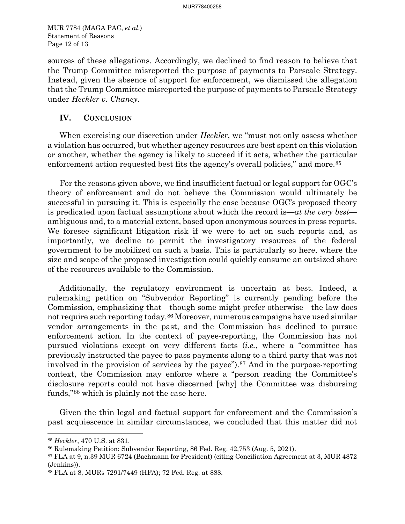MUR 7784 (MAGA PAC, *et al*.) Statement of Reasons Page 12 of 13

sources of these allegations. Accordingly, we declined to find reason to believe that the Trump Committee misreported the purpose of payments to Parscale Strategy. Instead, given the absence of support for enforcement, we dismissed the allegation that the Trump Committee misreported the purpose of payments to Parscale Strategy under *Heckler v. Chaney*.

### **IV. CONCLUSION**

When exercising our discretion under *Heckler*, we "must not only assess whether a violation has occurred, but whether agency resources are best spent on this violation or another, whether the agency is likely to succeed if it acts, whether the particular enforcement action requested best fits the agency's overall policies," and more.<sup>[85](#page-11-0)</sup>

For the reasons given above, we find insufficient factual or legal support for OGC's theory of enforcement and do not believe the Commission would ultimately be successful in pursuing it. This is especially the case because OGC's proposed theory is predicated upon factual assumptions about which the record is—*at the very best* ambiguous and, to a material extent, based upon anonymous sources in press reports. We foresee significant litigation risk if we were to act on such reports and, as importantly, we decline to permit the investigatory resources of the federal government to be mobilized on such a basis. This is particularly so here, where the size and scope of the proposed investigation could quickly consume an outsized share of the resources available to the Commission.

Additionally, the regulatory environment is uncertain at best. Indeed, a rulemaking petition on "Subvendor Reporting" is currently pending before the Commission, emphasizing that—though some might prefer otherwise—the law does not require such reporting today.[86](#page-11-1) Moreover, numerous campaigns have used similar vendor arrangements in the past, and the Commission has declined to pursue enforcement action. In the context of payee-reporting, the Commission has not pursued violations except on very different facts (*i.e.*, where a "committee has previously instructed the payee to pass payments along to a third party that was not involved in the provision of services by the payee")[.87](#page-11-2) And in the purpose-reporting context, the Commission may enforce where a "person reading the Committee's disclosure reports could not have discerned [why] the Committee was disbursing funds,"[88](#page-11-3) which is plainly not the case here.

Given the thin legal and factual support for enforcement and the Commission's past acquiescence in similar circumstances, we concluded that this matter did not

<span id="page-11-0"></span><sup>85</sup> *Heckler*, 470 U.S. at 831.

<span id="page-11-2"></span><span id="page-11-1"></span><sup>86</sup> Rulemaking Petition: Subvendor Reporting, 86 Fed. Reg. 42,753 (Aug. 5, 2021). 87 FLA at 9, n.39 MUR 6724 (Bachmann for President) (citing Conciliation Agreement at 3, MUR 4872 (Jenkins)). 88 FLA at 8, MURs 7291/7449 (HFA); 72 Fed. Reg. at 888.

<span id="page-11-3"></span>